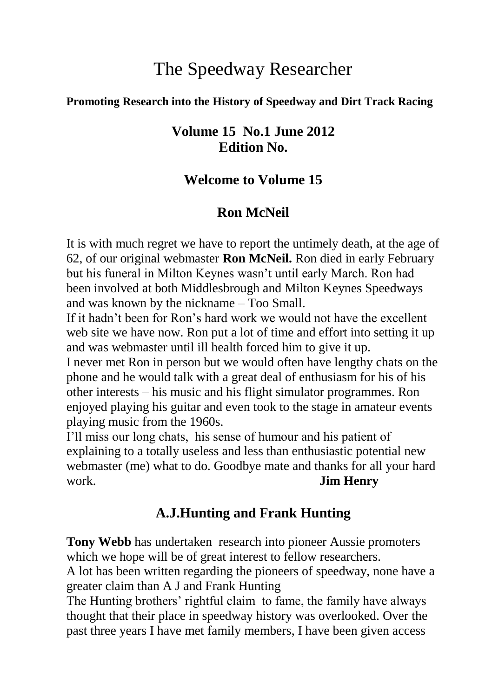# The Speedway Researcher

#### **Promoting Research into the History of Speedway and Dirt Track Racing**

#### **Volume 15 No.1 June 2012 Edition No.**

#### **Welcome to Volume 15**

#### **Ron McNeil**

It is with much regret we have to report the untimely death, at the age of 62, of our original webmaster **Ron McNeil.** Ron died in early February but his funeral in Milton Keynes wasn't until early March. Ron had been involved at both Middlesbrough and Milton Keynes Speedways and was known by the nickname – Too Small.

If it hadn't been for Ron's hard work we would not have the excellent web site we have now. Ron put a lot of time and effort into setting it up and was webmaster until ill health forced him to give it up.

I never met Ron in person but we would often have lengthy chats on the phone and he would talk with a great deal of enthusiasm for his of his other interests – his music and his flight simulator programmes. Ron enjoyed playing his guitar and even took to the stage in amateur events playing music from the 1960s.

I'll miss our long chats, his sense of humour and his patient of explaining to a totally useless and less than enthusiastic potential new webmaster (me) what to do. Goodbye mate and thanks for all your hard work. **Jim Henry**

### **A.J.Hunting and Frank Hunting**

**Tony Webb** has undertaken research into pioneer Aussie promoters which we hope will be of great interest to fellow researchers.

A lot has been written regarding the pioneers of speedway, none have a greater claim than A J and Frank Hunting

The Hunting brothers' rightful claim to fame, the family have always thought that their place in speedway history was overlooked. Over the past three years I have met family members, I have been given access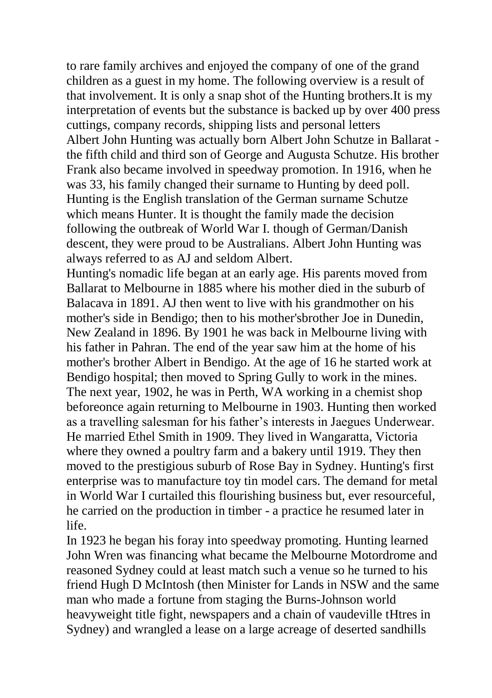to rare family archives and enjoyed the company of one of the grand children as a guest in my home. The following overview is a result of that involvement. It is only a snap shot of the Hunting brothers.It is my interpretation of events but the substance is backed up by over 400 press cuttings, company records, shipping lists and personal letters Albert John Hunting was actually born Albert John Schutze in Ballarat the fifth child and third son of George and Augusta Schutze. His brother Frank also became involved in speedway promotion. In 1916, when he was 33, his family changed their surname to Hunting by deed poll. Hunting is the English translation of the German surname Schutze which means Hunter. It is thought the family made the decision following the outbreak of World War I. though of German/Danish descent, they were proud to be Australians. Albert John Hunting was always referred to as AJ and seldom Albert.

Hunting's nomadic life began at an early age. His parents moved from Ballarat to Melbourne in 1885 where his mother died in the suburb of Balacava in 1891. AJ then went to live with his grandmother on his mother's side in Bendigo; then to his mother'sbrother Joe in Dunedin, New Zealand in 1896. By 1901 he was back in Melbourne living with his father in Pahran. The end of the year saw him at the home of his mother's brother Albert in Bendigo. At the age of 16 he started work at Bendigo hospital; then moved to Spring Gully to work in the mines. The next year, 1902, he was in Perth, WA working in a chemist shop beforeonce again returning to Melbourne in 1903. Hunting then worked as a travelling salesman for his father's interests in Jaegues Underwear. He married Ethel Smith in 1909. They lived in Wangaratta, Victoria where they owned a poultry farm and a bakery until 1919. They then moved to the prestigious suburb of Rose Bay in Sydney. Hunting's first enterprise was to manufacture toy tin model cars. The demand for metal in World War I curtailed this flourishing business but, ever resourceful, he carried on the production in timber - a practice he resumed later in life.

In 1923 he began his foray into speedway promoting. Hunting learned John Wren was financing what became the Melbourne Motordrome and reasoned Sydney could at least match such a venue so he turned to his friend Hugh D McIntosh (then Minister for Lands in NSW and the same man who made a fortune from staging the Burns-Johnson world heavyweight title fight, newspapers and a chain of vaudeville tHtres in Sydney) and wrangled a lease on a large acreage of deserted sandhills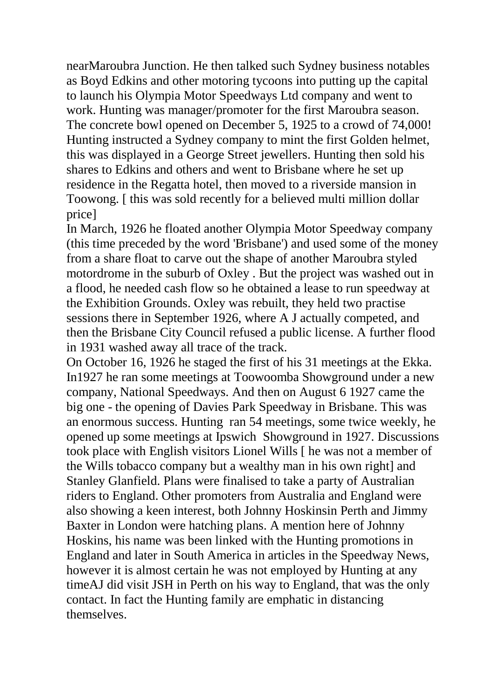nearMaroubra Junction. He then talked such Sydney business notables as Boyd Edkins and other motoring tycoons into putting up the capital to launch his Olympia Motor Speedways Ltd company and went to work. Hunting was manager/promoter for the first Maroubra season. The concrete bowl opened on December 5, 1925 to a crowd of 74,000! Hunting instructed a Sydney company to mint the first Golden helmet, this was displayed in a George Street jewellers. Hunting then sold his shares to Edkins and others and went to Brisbane where he set up residence in the Regatta hotel, then moved to a riverside mansion in Toowong. [ this was sold recently for a believed multi million dollar price]

In March, 1926 he floated another Olympia Motor Speedway company (this time preceded by the word 'Brisbane') and used some of the money from a share float to carve out the shape of another Maroubra styled motordrome in the suburb of Oxley . But the project was washed out in a flood, he needed cash flow so he obtained a lease to run speedway at the Exhibition Grounds. Oxley was rebuilt, they held two practise sessions there in September 1926, where A J actually competed, and then the Brisbane City Council refused a public license. A further flood in 1931 washed away all trace of the track.

On October 16, 1926 he staged the first of his 31 meetings at the Ekka. In1927 he ran some meetings at Toowoomba Showground under a new company, National Speedways. And then on August 6 1927 came the big one - the opening of Davies Park Speedway in Brisbane. This was an enormous success. Hunting ran 54 meetings, some twice weekly, he opened up some meetings at Ipswich Showground in 1927. Discussions took place with English visitors Lionel Wills [ he was not a member of the Wills tobacco company but a wealthy man in his own right] and Stanley Glanfield. Plans were finalised to take a party of Australian riders to England. Other promoters from Australia and England were also showing a keen interest, both Johnny Hoskinsin Perth and Jimmy Baxter in London were hatching plans. A mention here of Johnny Hoskins, his name was been linked with the Hunting promotions in England and later in South America in articles in the Speedway News, however it is almost certain he was not employed by Hunting at any timeAJ did visit JSH in Perth on his way to England, that was the only contact. In fact the Hunting family are emphatic in distancing themselves.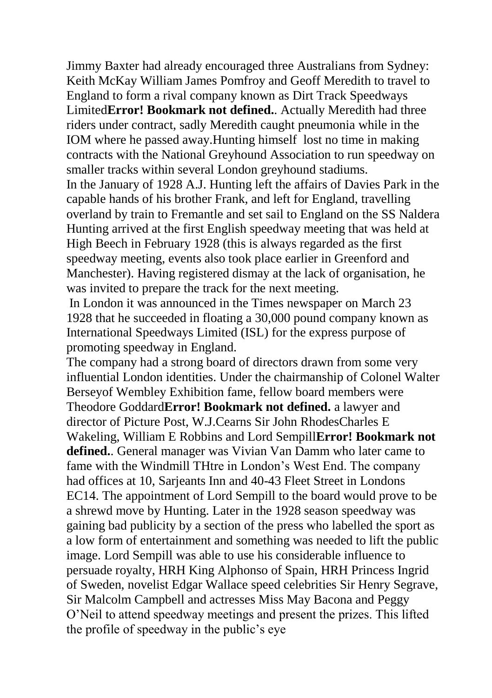Jimmy Baxter had already encouraged three Australians from Sydney: Keith McKay William James Pomfroy and Geoff Meredith to travel to England to form a rival company known as Dirt Track Speedways Limited**Error! Bookmark not defined.**. Actually Meredith had three riders under contract, sadly Meredith caught pneumonia while in the IOM where he passed away.Hunting himself lost no time in making contracts with the National Greyhound Association to run speedway on smaller tracks within several London greyhound stadiums.

In the January of 1928 A.J. Hunting left the affairs of Davies Park in the capable hands of his brother Frank, and left for England, travelling overland by train to Fremantle and set sail to England on the SS Naldera Hunting arrived at the first English speedway meeting that was held at High Beech in February 1928 (this is always regarded as the first speedway meeting, events also took place earlier in Greenford and Manchester). Having registered dismay at the lack of organisation, he was invited to prepare the track for the next meeting.

In London it was announced in the Times newspaper on March 23 1928 that he succeeded in floating a 30,000 pound company known as International Speedways Limited (ISL) for the express purpose of promoting speedway in England.

The company had a strong board of directors drawn from some very influential London identities. Under the chairmanship of Colonel Walter Berseyof Wembley Exhibition fame, fellow board members were Theodore Goddard**Error! Bookmark not defined.** a lawyer and director of Picture Post, W.J.Cearns Sir John RhodesCharles E Wakeling, William E Robbins and Lord Sempill**Error! Bookmark not defined.**. General manager was Vivian Van Damm who later came to fame with the Windmill THtre in London's West End. The company had offices at 10, Sarjeants Inn and 40-43 Fleet Street in Londons EC14. The appointment of Lord Sempill to the board would prove to be a shrewd move by Hunting. Later in the 1928 season speedway was gaining bad publicity by a section of the press who labelled the sport as a low form of entertainment and something was needed to lift the public image. Lord Sempill was able to use his considerable influence to persuade royalty, HRH King Alphonso of Spain, HRH Princess Ingrid of Sweden, novelist Edgar Wallace speed celebrities Sir Henry Segrave, Sir Malcolm Campbell and actresses Miss May Bacona and Peggy O'Neil to attend speedway meetings and present the prizes. This lifted the profile of speedway in the public's eye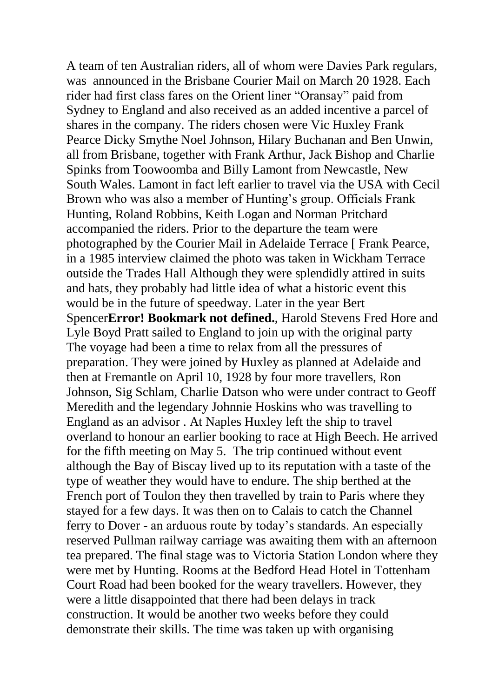A team of ten Australian riders, all of whom were Davies Park regulars, was announced in the Brisbane Courier Mail on March 20 1928. Each rider had first class fares on the Orient liner "Oransay" paid from Sydney to England and also received as an added incentive a parcel of shares in the company. The riders chosen were Vic Huxley Frank Pearce Dicky Smythe Noel Johnson, Hilary Buchanan and Ben Unwin, all from Brisbane, together with Frank Arthur, Jack Bishop and Charlie Spinks from Toowoomba and Billy Lamont from Newcastle, New South Wales. Lamont in fact left earlier to travel via the USA with Cecil Brown who was also a member of Hunting's group. Officials Frank Hunting, Roland Robbins, Keith Logan and Norman Pritchard accompanied the riders. Prior to the departure the team were photographed by the Courier Mail in Adelaide Terrace [ Frank Pearce, in a 1985 interview claimed the photo was taken in Wickham Terrace outside the Trades Hall Although they were splendidly attired in suits and hats, they probably had little idea of what a historic event this would be in the future of speedway. Later in the year Bert Spencer**Error! Bookmark not defined.**, Harold Stevens Fred Hore and Lyle Boyd Pratt sailed to England to join up with the original party The voyage had been a time to relax from all the pressures of preparation. They were joined by Huxley as planned at Adelaide and then at Fremantle on April 10, 1928 by four more travellers, Ron Johnson, Sig Schlam, Charlie Datson who were under contract to Geoff Meredith and the legendary Johnnie Hoskins who was travelling to England as an advisor . At Naples Huxley left the ship to travel overland to honour an earlier booking to race at High Beech. He arrived for the fifth meeting on May 5. The trip continued without event although the Bay of Biscay lived up to its reputation with a taste of the type of weather they would have to endure. The ship berthed at the French port of Toulon they then travelled by train to Paris where they stayed for a few days. It was then on to Calais to catch the Channel ferry to Dover - an arduous route by today's standards. An especially reserved Pullman railway carriage was awaiting them with an afternoon tea prepared. The final stage was to Victoria Station London where they were met by Hunting. Rooms at the Bedford Head Hotel in Tottenham Court Road had been booked for the weary travellers. However, they were a little disappointed that there had been delays in track construction. It would be another two weeks before they could demonstrate their skills. The time was taken up with organising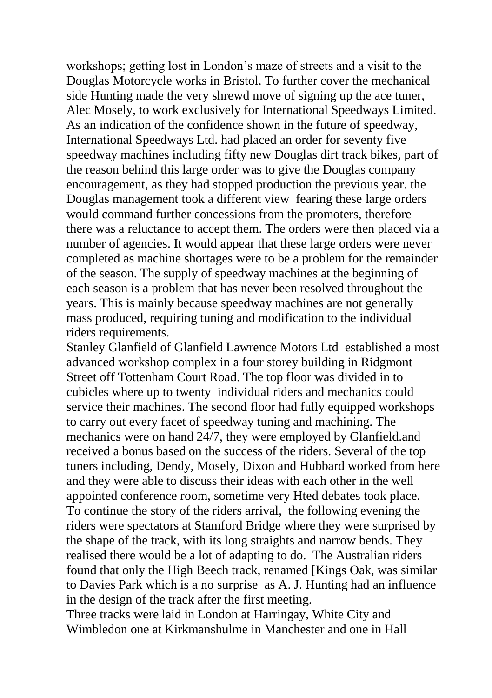workshops; getting lost in London's maze of streets and a visit to the Douglas Motorcycle works in Bristol. To further cover the mechanical side Hunting made the very shrewd move of signing up the ace tuner, Alec Mosely, to work exclusively for International Speedways Limited. As an indication of the confidence shown in the future of speedway, International Speedways Ltd. had placed an order for seventy five speedway machines including fifty new Douglas dirt track bikes, part of the reason behind this large order was to give the Douglas company encouragement, as they had stopped production the previous year. the Douglas management took a different view fearing these large orders would command further concessions from the promoters, therefore there was a reluctance to accept them. The orders were then placed via a number of agencies. It would appear that these large orders were never completed as machine shortages were to be a problem for the remainder of the season. The supply of speedway machines at the beginning of each season is a problem that has never been resolved throughout the years. This is mainly because speedway machines are not generally mass produced, requiring tuning and modification to the individual riders requirements.

Stanley Glanfield of Glanfield Lawrence Motors Ltd established a most advanced workshop complex in a four storey building in Ridgmont Street off Tottenham Court Road. The top floor was divided in to cubicles where up to twenty individual riders and mechanics could service their machines. The second floor had fully equipped workshops to carry out every facet of speedway tuning and machining. The mechanics were on hand 24/7, they were employed by Glanfield.and received a bonus based on the success of the riders. Several of the top tuners including, Dendy, Mosely, Dixon and Hubbard worked from here and they were able to discuss their ideas with each other in the well appointed conference room, sometime very Hted debates took place. To continue the story of the riders arrival, the following evening the riders were spectators at Stamford Bridge where they were surprised by the shape of the track, with its long straights and narrow bends. They realised there would be a lot of adapting to do. The Australian riders found that only the High Beech track, renamed [Kings Oak, was similar to Davies Park which is a no surprise as A. J. Hunting had an influence in the design of the track after the first meeting.

Three tracks were laid in London at Harringay, White City and Wimbledon one at Kirkmanshulme in Manchester and one in Hall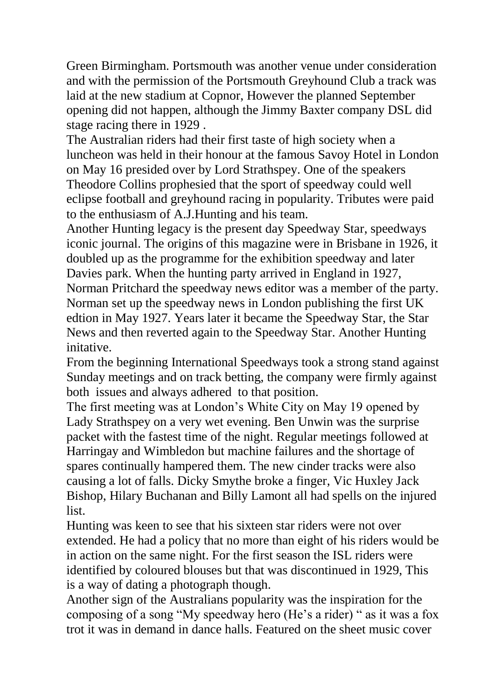Green Birmingham. Portsmouth was another venue under consideration and with the permission of the Portsmouth Greyhound Club a track was laid at the new stadium at Copnor, However the planned September opening did not happen, although the Jimmy Baxter company DSL did stage racing there in 1929 .

The Australian riders had their first taste of high society when a luncheon was held in their honour at the famous Savoy Hotel in London on May 16 presided over by Lord Strathspey. One of the speakers Theodore Collins prophesied that the sport of speedway could well eclipse football and greyhound racing in popularity. Tributes were paid to the enthusiasm of A.J.Hunting and his team.

Another Hunting legacy is the present day Speedway Star, speedways iconic journal. The origins of this magazine were in Brisbane in 1926, it doubled up as the programme for the exhibition speedway and later Davies park. When the hunting party arrived in England in 1927, Norman Pritchard the speedway news editor was a member of the party. Norman set up the speedway news in London publishing the first UK edtion in May 1927. Years later it became the Speedway Star, the Star News and then reverted again to the Speedway Star. Another Hunting initative.

From the beginning International Speedways took a strong stand against Sunday meetings and on track betting, the company were firmly against both issues and always adhered to that position.

The first meeting was at London's White City on May 19 opened by Lady Strathspey on a very wet evening. Ben Unwin was the surprise packet with the fastest time of the night. Regular meetings followed at Harringay and Wimbledon but machine failures and the shortage of spares continually hampered them. The new cinder tracks were also causing a lot of falls. Dicky Smythe broke a finger, Vic Huxley Jack Bishop, Hilary Buchanan and Billy Lamont all had spells on the injured list.

Hunting was keen to see that his sixteen star riders were not over extended. He had a policy that no more than eight of his riders would be in action on the same night. For the first season the ISL riders were identified by coloured blouses but that was discontinued in 1929, This is a way of dating a photograph though.

Another sign of the Australians popularity was the inspiration for the composing of a song "My speedway hero (He's a rider) " as it was a fox trot it was in demand in dance halls. Featured on the sheet music cover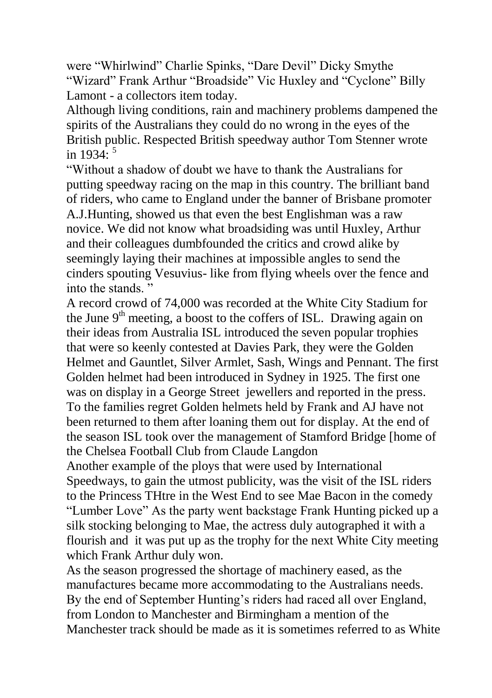were "Whirlwind" Charlie Spinks, "Dare Devil" Dicky Smythe "Wizard" Frank Arthur "Broadside" Vic Huxley and "Cyclone" Billy Lamont - a collectors item today.

Although living conditions, rain and machinery problems dampened the spirits of the Australians they could do no wrong in the eyes of the British public. Respected British speedway author Tom Stenner wrote in 1934 $\cdot$ <sup>5</sup>

"Without a shadow of doubt we have to thank the Australians for putting speedway racing on the map in this country. The brilliant band of riders, who came to England under the banner of Brisbane promoter A.J.Hunting, showed us that even the best Englishman was a raw novice. We did not know what broadsiding was until Huxley, Arthur and their colleagues dumbfounded the critics and crowd alike by seemingly laying their machines at impossible angles to send the cinders spouting Vesuvius- like from flying wheels over the fence and into the stands. "

A record crowd of 74,000 was recorded at the White City Stadium for the June  $9<sup>th</sup>$  meeting, a boost to the coffers of ISL. Drawing again on their ideas from Australia ISL introduced the seven popular trophies that were so keenly contested at Davies Park, they were the Golden Helmet and Gauntlet, Silver Armlet, Sash, Wings and Pennant. The first Golden helmet had been introduced in Sydney in 1925. The first one was on display in a George Street jewellers and reported in the press. To the families regret Golden helmets held by Frank and AJ have not been returned to them after loaning them out for display. At the end of the season ISL took over the management of Stamford Bridge [home of the Chelsea Football Club from Claude Langdon

Another example of the ploys that were used by International Speedways, to gain the utmost publicity, was the visit of the ISL riders to the Princess THtre in the West End to see Mae Bacon in the comedy "Lumber Love" As the party went backstage Frank Hunting picked up a silk stocking belonging to Mae, the actress duly autographed it with a flourish and it was put up as the trophy for the next White City meeting which Frank Arthur duly won.

As the season progressed the shortage of machinery eased, as the manufactures became more accommodating to the Australians needs. By the end of September Hunting's riders had raced all over England, from London to Manchester and Birmingham a mention of the Manchester track should be made as it is sometimes referred to as White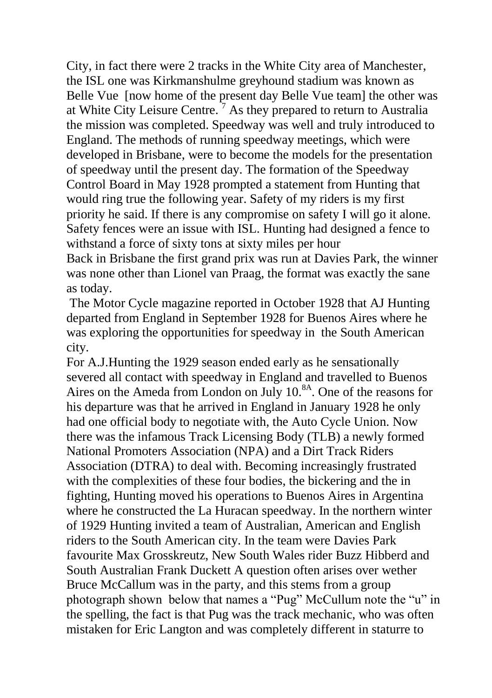City, in fact there were 2 tracks in the White City area of Manchester, the ISL one was Kirkmanshulme greyhound stadium was known as Belle Vue [now home of the present day Belle Vue team] the other was at White City Leisure Centre.<sup> $7$ </sup> As they prepared to return to Australia the mission was completed. Speedway was well and truly introduced to England. The methods of running speedway meetings, which were developed in Brisbane, were to become the models for the presentation of speedway until the present day. The formation of the Speedway Control Board in May 1928 prompted a statement from Hunting that would ring true the following year. Safety of my riders is my first priority he said. If there is any compromise on safety I will go it alone. Safety fences were an issue with ISL. Hunting had designed a fence to withstand a force of sixty tons at sixty miles per hour

Back in Brisbane the first grand prix was run at Davies Park, the winner was none other than Lionel van Praag, the format was exactly the sane as today.

The Motor Cycle magazine reported in October 1928 that AJ Hunting departed from England in September 1928 for Buenos Aires where he was exploring the opportunities for speedway in the South American city.

For A.J.Hunting the 1929 season ended early as he sensationally severed all contact with speedway in England and travelled to Buenos Aires on the Ameda from London on July  $10^{8A}$ . One of the reasons for his departure was that he arrived in England in January 1928 he only had one official body to negotiate with, the Auto Cycle Union. Now there was the infamous Track Licensing Body (TLB) a newly formed National Promoters Association (NPA) and a Dirt Track Riders Association (DTRA) to deal with. Becoming increasingly frustrated with the complexities of these four bodies, the bickering and the in fighting, Hunting moved his operations to Buenos Aires in Argentina where he constructed the La Huracan speedway. In the northern winter of 1929 Hunting invited a team of Australian, American and English riders to the South American city. In the team were Davies Park favourite Max Grosskreutz, New South Wales rider Buzz Hibberd and South Australian Frank Duckett A question often arises over wether Bruce McCallum was in the party, and this stems from a group photograph shown below that names a "Pug" McCullum note the "u" in the spelling, the fact is that Pug was the track mechanic, who was often mistaken for Eric Langton and was completely different in staturre to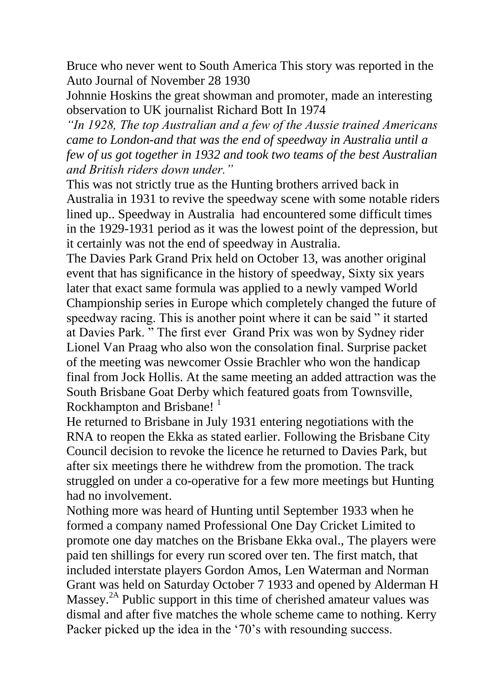Bruce who never went to South America This story was reported in the Auto Journal of November 28 1930

Johnnie Hoskins the great showman and promoter, made an interesting observation to UK journalist Richard Bott In 1974

*"In 1928, The top Australian and a few of the Aussie trained Americans came to London-and that was the end of speedway in Australia until a few of us got together in 1932 and took two teams of the best Australian and British riders down under."*

This was not strictly true as the Hunting brothers arrived back in Australia in 1931 to revive the speedway scene with some notable riders lined up.. Speedway in Australia had encountered some difficult times in the 1929-1931 period as it was the lowest point of the depression, but it certainly was not the end of speedway in Australia*.*

The Davies Park Grand Prix held on October 13, was another original event that has significance in the history of speedway, Sixty six years later that exact same formula was applied to a newly vamped World Championship series in Europe which completely changed the future of speedway racing. This is another point where it can be said " it started at Davies Park. " The first ever Grand Prix was won by Sydney rider Lionel Van Praag who also won the consolation final. Surprise packet of the meeting was newcomer Ossie Brachler who won the handicap final from Jock Hollis. At the same meeting an added attraction was the South Brisbane Goat Derby which featured goats from Townsville, Rockhampton and Brisbane!<sup>1</sup>

He returned to Brisbane in July 1931 entering negotiations with the RNA to reopen the Ekka as stated earlier. Following the Brisbane City Council decision to revoke the licence he returned to Davies Park, but after six meetings there he withdrew from the promotion. The track struggled on under a co-operative for a few more meetings but Hunting had no involvement.

Nothing more was heard of Hunting until September 1933 when he formed a company named Professional One Day Cricket Limited to promote one day matches on the Brisbane Ekka oval., The players were paid ten shillings for every run scored over ten. The first match, that included interstate players Gordon Amos, Len Waterman and Norman Grant was held on Saturday October 7 1933 and opened by Alderman H Massey.<sup>2A</sup> Public support in this time of cherished amateur values was dismal and after five matches the whole scheme came to nothing. Kerry Packer picked up the idea in the '70's with resounding success.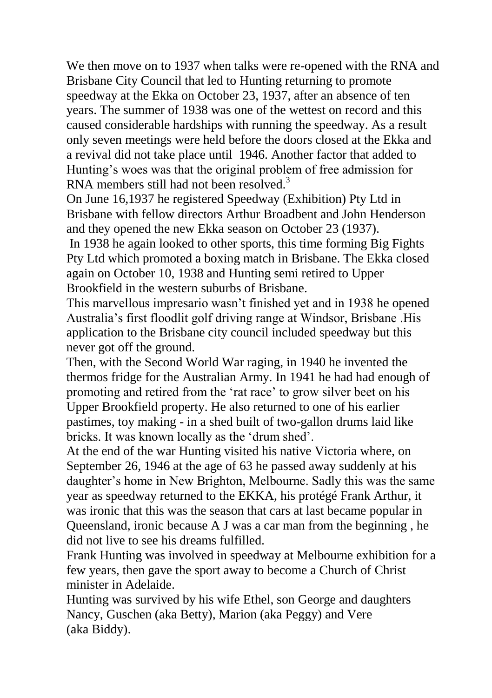We then move on to 1937 when talks were re-opened with the RNA and Brisbane City Council that led to Hunting returning to promote speedway at the Ekka on October 23, 1937, after an absence of ten years. The summer of 1938 was one of the wettest on record and this caused considerable hardships with running the speedway. As a result only seven meetings were held before the doors closed at the Ekka and a revival did not take place until 1946. Another factor that added to Hunting's woes was that the original problem of free admission for RNA members still had not been resolved.<sup>3</sup>

On June 16,1937 he registered Speedway (Exhibition) Pty Ltd in Brisbane with fellow directors Arthur Broadbent and John Henderson and they opened the new Ekka season on October 23 (1937).

In 1938 he again looked to other sports, this time forming Big Fights Pty Ltd which promoted a boxing match in Brisbane. The Ekka closed again on October 10, 1938 and Hunting semi retired to Upper Brookfield in the western suburbs of Brisbane.

This marvellous impresario wasn't finished yet and in 1938 he opened Australia's first floodlit golf driving range at Windsor, Brisbane .His application to the Brisbane city council included speedway but this never got off the ground.

Then, with the Second World War raging, in 1940 he invented the thermos fridge for the Australian Army. In 1941 he had had enough of promoting and retired from the 'rat race' to grow silver beet on his Upper Brookfield property. He also returned to one of his earlier pastimes, toy making - in a shed built of two-gallon drums laid like bricks. It was known locally as the 'drum shed'.

At the end of the war Hunting visited his native Victoria where, on September 26, 1946 at the age of 63 he passed away suddenly at his daughter's home in New Brighton, Melbourne. Sadly this was the same year as speedway returned to the EKKA, his protégé Frank Arthur, it was ironic that this was the season that cars at last became popular in Queensland, ironic because A J was a car man from the beginning , he did not live to see his dreams fulfilled.

Frank Hunting was involved in speedway at Melbourne exhibition for a few years, then gave the sport away to become a Church of Christ minister in Adelaide.

Hunting was survived by his wife Ethel, son George and daughters Nancy, Guschen (aka Betty), Marion (aka Peggy) and Vere (aka Biddy).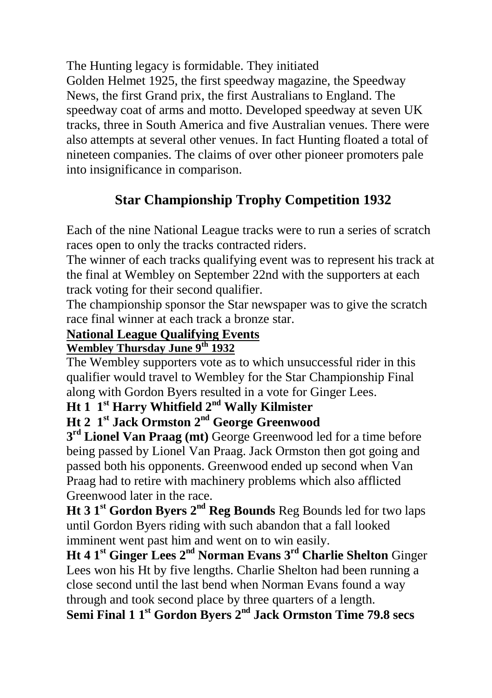The Hunting legacy is formidable. They initiated Golden Helmet 1925, the first speedway magazine, the Speedway News, the first Grand prix, the first Australians to England. The speedway coat of arms and motto. Developed speedway at seven UK tracks, three in South America and five Australian venues. There were also attempts at several other venues. In fact Hunting floated a total of nineteen companies. The claims of over other pioneer promoters pale into insignificance in comparison.

# **Star Championship Trophy Competition 1932**

Each of the nine National League tracks were to run a series of scratch races open to only the tracks contracted riders.

The winner of each tracks qualifying event was to represent his track at the final at Wembley on September 22nd with the supporters at each track voting for their second qualifier.

The championship sponsor the Star newspaper was to give the scratch race final winner at each track a bronze star.

#### **National League Qualifying Events**

#### **Wembley Thursday June 9th 1932**

The Wembley supporters vote as to which unsuccessful rider in this qualifier would travel to Wembley for the Star Championship Final along with Gordon Byers resulted in a vote for Ginger Lees.

### **Ht 1 1st Harry Whitfield 2nd Wally Kilmister**

## **Ht 2 1st Jack Ormston 2nd George Greenwood**

**3 rd Lionel Van Praag (mt)** George Greenwood led for a time before being passed by Lionel Van Praag. Jack Ormston then got going and passed both his opponents. Greenwood ended up second when Van Praag had to retire with machinery problems which also afflicted Greenwood later in the race.

**Ht 3 1st Gordon Byers 2nd Reg Bounds** Reg Bounds led for two laps until Gordon Byers riding with such abandon that a fall looked imminent went past him and went on to win easily.

**Ht 4 1st Ginger Lees 2nd Norman Evans 3rd Charlie Shelton** Ginger Lees won his Ht by five lengths. Charlie Shelton had been running a close second until the last bend when Norman Evans found a way through and took second place by three quarters of a length.

**Semi Final 1 1st Gordon Byers 2nd Jack Ormston Time 79.8 secs**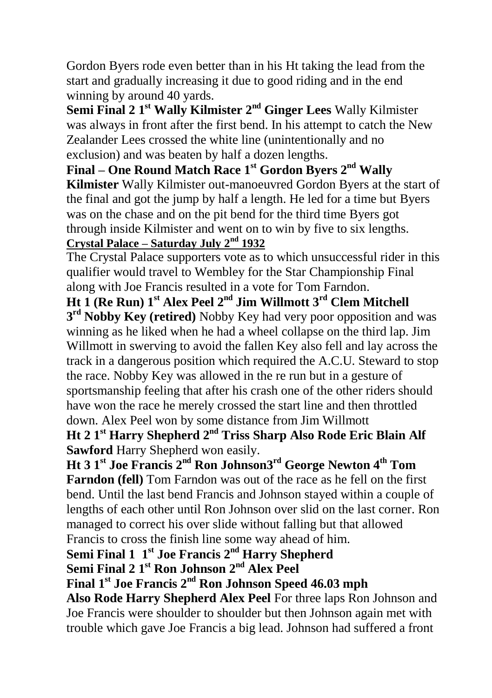Gordon Byers rode even better than in his Ht taking the lead from the start and gradually increasing it due to good riding and in the end winning by around 40 yards.

**Semi Final 2 1 st Wally Kilmister 2nd Ginger Lees** Wally Kilmister was always in front after the first bend. In his attempt to catch the New Zealander Lees crossed the white line (unintentionally and no exclusion) and was beaten by half a dozen lengths.

**Final – One Round Match Race 1st Gordon Byers 2nd Wally Kilmister** Wally Kilmister out-manoeuvred Gordon Byers at the start of the final and got the jump by half a length. He led for a time but Byers was on the chase and on the pit bend for the third time Byers got through inside Kilmister and went on to win by five to six lengths. **Crystal Palace – Saturday July 2nd 1932**

The Crystal Palace supporters vote as to which unsuccessful rider in this qualifier would travel to Wembley for the Star Championship Final along with Joe Francis resulted in a vote for Tom Farndon.

**Ht 1 (Re Run) 1st Alex Peel 2nd Jim Willmott 3rd Clem Mitchell 3 rd Nobby Key (retired)** Nobby Key had very poor opposition and was winning as he liked when he had a wheel collapse on the third lap. Jim Willmott in swerving to avoid the fallen Key also fell and lay across the track in a dangerous position which required the A.C.U. Steward to stop the race. Nobby Key was allowed in the re run but in a gesture of sportsmanship feeling that after his crash one of the other riders should have won the race he merely crossed the start line and then throttled down. Alex Peel won by some distance from Jim Willmott

**Ht 2 1st Harry Shepherd 2nd Triss Sharp Also Rode Eric Blain Alf Sawford** Harry Shepherd won easily.

**Ht 3 1st Joe Francis 2nd Ron Johnson3rd George Newton 4th Tom Farndon (fell)** Tom Farndon was out of the race as he fell on the first bend. Until the last bend Francis and Johnson stayed within a couple of lengths of each other until Ron Johnson over slid on the last corner. Ron managed to correct his over slide without falling but that allowed Francis to cross the finish line some way ahead of him.

**Semi Final 1 1st Joe Francis 2nd Harry Shepherd**

**Semi Final 2 1 st Ron Johnson 2nd Alex Peel**

**Final 1st Joe Francis 2nd Ron Johnson Speed 46.03 mph**

**Also Rode Harry Shepherd Alex Peel** For three laps Ron Johnson and Joe Francis were shoulder to shoulder but then Johnson again met with trouble which gave Joe Francis a big lead. Johnson had suffered a front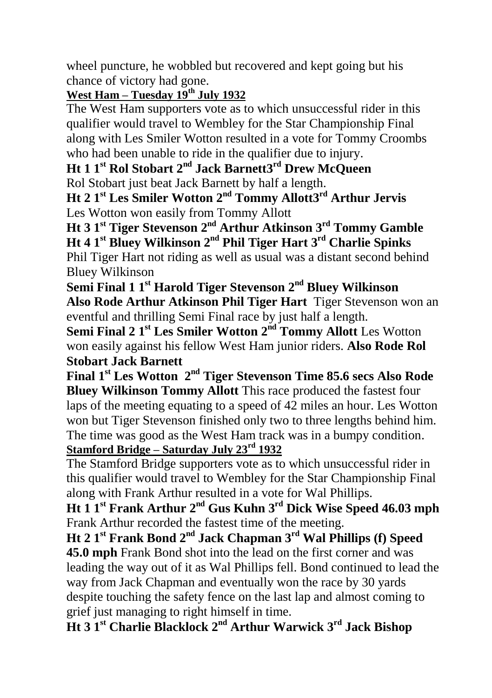wheel puncture, he wobbled but recovered and kept going but his chance of victory had gone.

### **West Ham – Tuesday 19th July 1932**

The West Ham supporters vote as to which unsuccessful rider in this qualifier would travel to Wembley for the Star Championship Final along with Les Smiler Wotton resulted in a vote for Tommy Croombs who had been unable to ride in the qualifier due to injury.

#### **Ht 1 1st Rol Stobart 2nd Jack Barnett3rd Drew McQueen** Rol Stobart just beat Jack Barnett by half a length.

**Ht 2 1st Les Smiler Wotton 2nd Tommy Allott3rd Arthur Jervis** Les Wotton won easily from Tommy Allott

**Ht 3 1st Tiger Stevenson 2nd Arthur Atkinson 3rd Tommy Gamble Ht 4 1st Bluey Wilkinson 2nd Phil Tiger Hart 3rd Charlie Spinks** Phil Tiger Hart not riding as well as usual was a distant second behind Bluey Wilkinson

**Semi Final 1 1st Harold Tiger Stevenson 2nd Bluey Wilkinson Also Rode Arthur Atkinson Phil Tiger Hart** Tiger Stevenson won an eventful and thrilling Semi Final race by just half a length.

**Semi Final 2 1 st Les Smiler Wotton 2nd Tommy Allott** Les Wotton won easily against his fellow West Ham junior riders. **Also Rode Rol Stobart Jack Barnett**

**Final 1st Les Wotton 2nd Tiger Stevenson Time 85.6 secs Also Rode Bluey Wilkinson Tommy Allott** This race produced the fastest four laps of the meeting equating to a speed of  $42$  miles an hour. Les Wotton won but Tiger Stevenson finished only two to three lengths behind him. The time was good as the West Ham track was in a bumpy condition. **Stamford Bridge – Saturday July 23rd 1932**

The Stamford Bridge supporters vote as to which unsuccessful rider in this qualifier would travel to Wembley for the Star Championship Final along with Frank Arthur resulted in a vote for Wal Phillips.

**Ht 1 1st Frank Arthur 2nd Gus Kuhn 3rd Dick Wise Speed 46.03 mph**  Frank Arthur recorded the fastest time of the meeting.

**Ht 2 1st Frank Bond 2nd Jack Chapman 3rd Wal Phillips (f) Speed 45.0 mph** Frank Bond shot into the lead on the first corner and was leading the way out of it as Wal Phillips fell. Bond continued to lead the way from Jack Chapman and eventually won the race by 30 yards despite touching the safety fence on the last lap and almost coming to grief just managing to right himself in time.

**Ht 3 1st Charlie Blacklock 2nd Arthur Warwick 3rd Jack Bishop**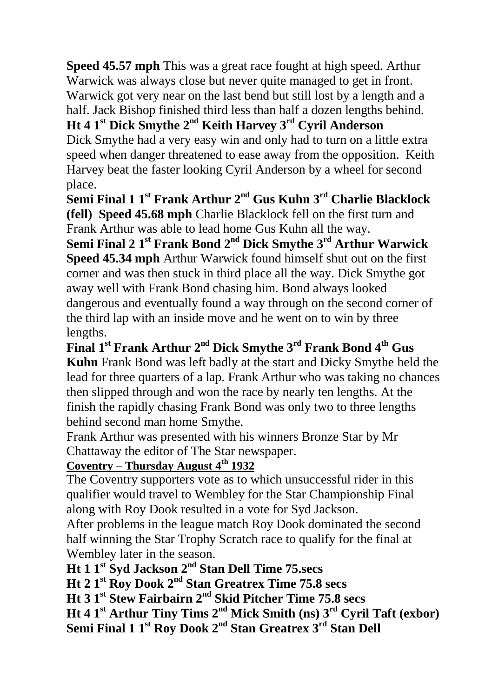**Speed 45.57 mph** This was a great race fought at high speed. Arthur Warwick was always close but never quite managed to get in front. Warwick got very near on the last bend but still lost by a length and a half. Jack Bishop finished third less than half a dozen lengths behind.

**Ht 4 1st Dick Smythe 2nd Keith Harvey 3rd Cyril Anderson** Dick Smythe had a very easy win and only had to turn on a little extra speed when danger threatened to ease away from the opposition. Keith

Harvey beat the faster looking Cyril Anderson by a wheel for second place.

**Semi Final 1 1st Frank Arthur 2nd Gus Kuhn 3rd Charlie Blacklock (fell) Speed 45.68 mph** Charlie Blacklock fell on the first turn and Frank Arthur was able to lead home Gus Kuhn all the way.

**Semi Final 2 1 st Frank Bond 2nd Dick Smythe 3rd Arthur Warwick Speed 45.34 mph** Arthur Warwick found himself shut out on the first corner and was then stuck in third place all the way. Dick Smythe got away well with Frank Bond chasing him. Bond always looked dangerous and eventually found a way through on the second corner of the third lap with an inside move and he went on to win by three lengths.

**Final 1st Frank Arthur 2 nd Dick Smythe 3rd Frank Bond 4 th Gus Kuhn** Frank Bond was left badly at the start and Dicky Smythe held the lead for three quarters of a lap. Frank Arthur who was taking no chances then slipped through and won the race by nearly ten lengths. At the finish the rapidly chasing Frank Bond was only two to three lengths behind second man home Smythe.

Frank Arthur was presented with his winners Bronze Star by Mr Chattaway the editor of The Star newspaper.

### **Coventry – Thursday August 4th 1932**

The Coventry supporters vote as to which unsuccessful rider in this qualifier would travel to Wembley for the Star Championship Final along with Roy Dook resulted in a vote for Syd Jackson.

After problems in the league match Roy Dook dominated the second half winning the Star Trophy Scratch race to qualify for the final at Wembley later in the season.

**Ht 1 1st Syd Jackson 2 nd Stan Dell Time 75.secs**

**Ht 2 1st Roy Dook 2nd Stan Greatrex Time 75.8 secs**

**Ht 3 1st Stew Fairbairn 2nd Skid Pitcher Time 75.8 secs**

**Ht 4 1st Arthur Tiny Tims 2nd Mick Smith (ns) 3 rd Cyril Taft (exbor) Semi Final 1 1st Roy Dook 2nd Stan Greatrex 3rd Stan Dell**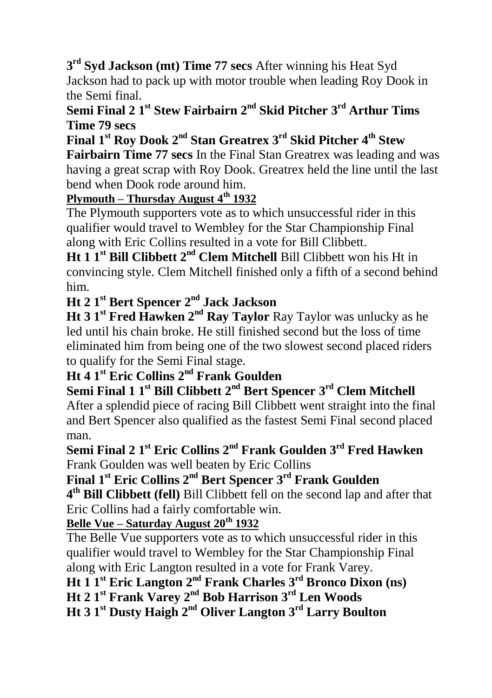**3 rd Syd Jackson (mt) Time 77 secs** After winning his Heat Syd Jackson had to pack up with motor trouble when leading Roy Dook in the Semi final.

### **Semi Final 2 1st Stew Fairbairn 2nd Skid Pitcher 3rd Arthur Tims Time 79 secs**

**Final 1st Roy Dook 2nd Stan Greatrex 3rd Skid Pitcher 4th Stew** 

**Fairbairn Time 77 secs** In the Final Stan Greatrex was leading and was having a great scrap with Roy Dook. Greatrex held the line until the last bend when Dook rode around him.

#### **Plymouth – Thursday August 4th 1932**

The Plymouth supporters vote as to which unsuccessful rider in this qualifier would travel to Wembley for the Star Championship Final along with Eric Collins resulted in a vote for Bill Clibbett.

**Ht 1 1st Bill Clibbett 2nd Clem Mitchell** Bill Clibbett won his Ht in convincing style. Clem Mitchell finished only a fifth of a second behind him.

**Ht 2 1st Bert Spencer 2nd Jack Jackson**

**Ht 3 1st Fred Hawken 2nd Ray Taylor** Ray Taylor was unlucky as he led until his chain broke. He still finished second but the loss of time eliminated him from being one of the two slowest second placed riders to qualify for the Semi Final stage.

### **Ht 4 1st Eric Collins 2nd Frank Goulden**

**Semi Final 1 1st Bill Clibbett 2nd Bert Spencer 3rd Clem Mitchell** After a splendid piece of racing Bill Clibbett went straight into the final and Bert Spencer also qualified as the fastest Semi Final second placed man.

**Semi Final 2 1 st Eric Collins 2nd Frank Goulden 3rd Fred Hawken** Frank Goulden was well beaten by Eric Collins

**Final 1st Eric Collins 2nd Bert Spencer 3rd Frank Goulden**

**4 th Bill Clibbett (fell)** Bill Clibbett fell on the second lap and after that Eric Collins had a fairly comfortable win.

#### **Belle Vue – Saturday August 20th 1932**

The Belle Vue supporters vote as to which unsuccessful rider in this qualifier would travel to Wembley for the Star Championship Final along with Eric Langton resulted in a vote for Frank Varey.

**Ht 1 1st Eric Langton 2nd Frank Charles 3rd Bronco Dixon (ns)**

**Ht 2 1st Frank Varey 2nd Bob Harrison 3rd Len Woods**

**Ht 3 1st Dusty Haigh 2nd Oliver Langton 3rd Larry Boulton**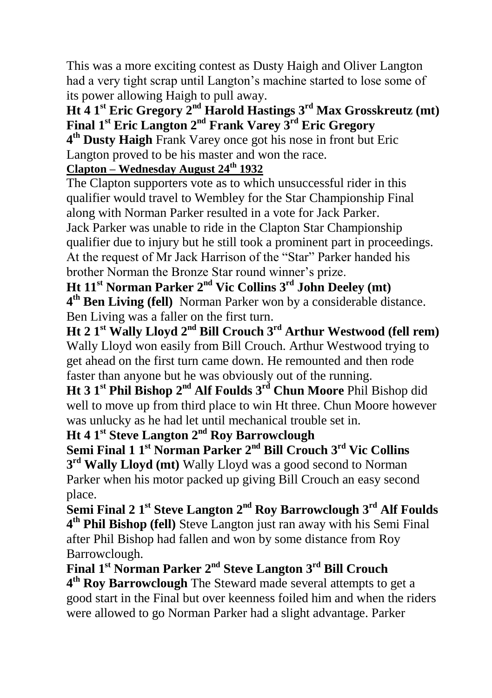This was a more exciting contest as Dusty Haigh and Oliver Langton had a very tight scrap until Langton's machine started to lose some of its power allowing Haigh to pull away.

### **Ht 4 1st Eric Gregory 2nd Harold Hastings 3rd Max Grosskreutz (mt) Final 1st Eric Langton 2nd Frank Varey 3rd Eric Gregory**

**4 th Dusty Haigh** Frank Varey once got his nose in front but Eric Langton proved to be his master and won the race.

#### **Clapton – Wednesday August 24th 1932**

The Clapton supporters vote as to which unsuccessful rider in this qualifier would travel to Wembley for the Star Championship Final along with Norman Parker resulted in a vote for Jack Parker. Jack Parker was unable to ride in the Clapton Star Championship qualifier due to injury but he still took a prominent part in proceedings. At the request of Mr Jack Harrison of the "Star" Parker handed his brother Norman the Bronze Star round winner's prize.

**Ht 11st Norman Parker 2 nd Vic Collins 3rd John Deeley (mt) 4 th Ben Living (fell)** Norman Parker won by a considerable distance. Ben Living was a faller on the first turn.

**Ht 2 1st Wally Lloyd 2nd Bill Crouch 3rd Arthur Westwood (fell rem)** Wally Lloyd won easily from Bill Crouch. Arthur Westwood trying to get ahead on the first turn came down. He remounted and then rode faster than anyone but he was obviously out of the running.

**Ht 3 1st Phil Bishop 2nd Alf Foulds 3rd Chun Moore** Phil Bishop did well to move up from third place to win Ht three. Chun Moore however was unlucky as he had let until mechanical trouble set in.

**Ht 4 1st Steve Langton 2nd Roy Barrowclough**

**Semi Final 1 1st Norman Parker 2nd Bill Crouch 3rd Vic Collins 3 rd Wally Lloyd (mt)** Wally Lloyd was a good second to Norman Parker when his motor packed up giving Bill Crouch an easy second place.

**Semi Final 2 1 st Steve Langton 2nd Roy Barrowclough 3rd Alf Foulds 4 th Phil Bishop (fell)** Steve Langton just ran away with his Semi Final after Phil Bishop had fallen and won by some distance from Roy Barrowclough.

**Final 1st Norman Parker 2nd Steve Langton 3rd Bill Crouch**

**4 th Roy Barrowclough** The Steward made several attempts to get a good start in the Final but over keenness foiled him and when the riders were allowed to go Norman Parker had a slight advantage. Parker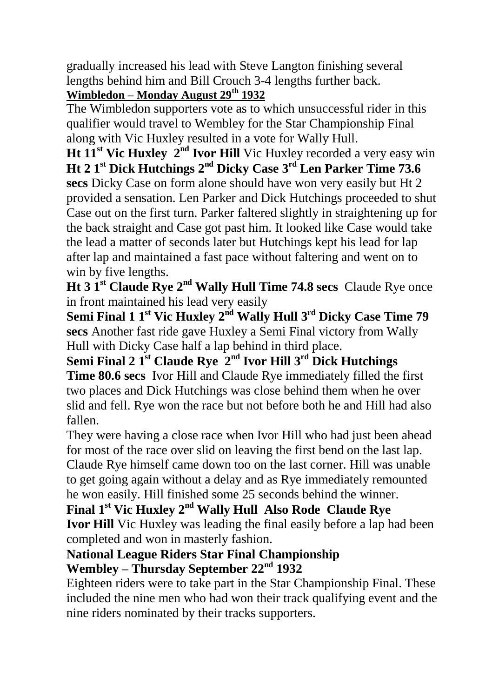gradually increased his lead with Steve Langton finishing several lengths behind him and Bill Crouch 3-4 lengths further back. **Wimbledon – Monday August 29th 1932**

The Wimbledon supporters vote as to which unsuccessful rider in this qualifier would travel to Wembley for the Star Championship Final along with Vic Huxley resulted in a vote for Wally Hull.

**Ht 11st Vic Huxley 2nd Ivor Hill** Vic Huxley recorded a very easy win **Ht 2 1st Dick Hutchings 2nd Dicky Case 3rd Len Parker Time 73.6 secs** Dicky Case on form alone should have won very easily but Ht 2 provided a sensation. Len Parker and Dick Hutchings proceeded to shut Case out on the first turn. Parker faltered slightly in straightening up for the back straight and Case got past him. It looked like Case would take the lead a matter of seconds later but Hutchings kept his lead for lap after lap and maintained a fast pace without faltering and went on to win by five lengths.

**Ht 3 1st Claude Rye 2nd Wally Hull Time 74.8 secs** Claude Rye once in front maintained his lead very easily

**Semi Final 1 1st Vic Huxley 2nd Wally Hull 3 rd Dicky Case Time 79 secs** Another fast ride gave Huxley a Semi Final victory from Wally Hull with Dicky Case half a lap behind in third place.

**Semi Final 2 1st Claude Rye 2nd Ivor Hill 3rd Dick Hutchings Time 80.6 secs** Ivor Hill and Claude Rye immediately filled the first two places and Dick Hutchings was close behind them when he over slid and fell. Rye won the race but not before both he and Hill had also fallen.

They were having a close race when Ivor Hill who had just been ahead for most of the race over slid on leaving the first bend on the last lap. Claude Rye himself came down too on the last corner. Hill was unable to get going again without a delay and as Rye immediately remounted he won easily. Hill finished some 25 seconds behind the winner.

**Final 1st Vic Huxley 2nd Wally Hull Also Rode Claude Rye Ivor Hill** Vic Huxley was leading the final easily before a lap had been completed and won in masterly fashion.

#### **National League Riders Star Final Championship Wembley – Thursday September 22nd 1932**

Eighteen riders were to take part in the Star Championship Final. These included the nine men who had won their track qualifying event and the nine riders nominated by their tracks supporters.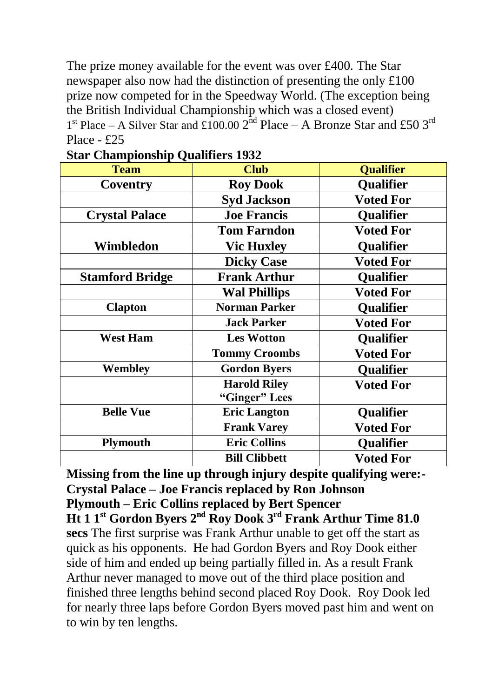The prize money available for the event was over £400. The Star newspaper also now had the distinction of presenting the only £100 prize now competed for in the Speedway World. (The exception being the British Individual Championship which was a closed event)  $1<sup>st</sup>$  Place – A Silver Star and £100.00  $2<sup>nd</sup>$  Place – A Bronze Star and £50  $3<sup>rd</sup>$ Place - £25

| <b>Club</b>          | <b>Qualifier</b> |  |
|----------------------|------------------|--|
| <b>Roy Dook</b>      | <b>Qualifier</b> |  |
| <b>Syd Jackson</b>   | <b>Voted For</b> |  |
| <b>Joe Francis</b>   | Qualifier        |  |
| <b>Tom Farndon</b>   | <b>Voted For</b> |  |
| <b>Vic Huxley</b>    | Qualifier        |  |
| <b>Dicky Case</b>    | <b>Voted For</b> |  |
| <b>Frank Arthur</b>  | Qualifier        |  |
| <b>Wal Phillips</b>  | <b>Voted For</b> |  |
| Norman Parker        | <b>Qualifier</b> |  |
| <b>Jack Parker</b>   | <b>Voted For</b> |  |
| <b>Les Wotton</b>    | <b>Qualifier</b> |  |
| <b>Tommy Croombs</b> | Voted For        |  |
| <b>Gordon Byers</b>  | Qualifier        |  |
| <b>Harold Riley</b>  | <b>Voted For</b> |  |
| <b>Eric Langton</b>  | Qualifier        |  |
| <b>Frank Varey</b>   | <b>Voted For</b> |  |
| <b>Eric Collins</b>  | Qualifier        |  |
| <b>Bill Clibbett</b> | Voted For        |  |
|                      | "Ginger" Lees    |  |

**Star Championship Qualifiers 1932**

**Missing from the line up through injury despite qualifying were:- Crystal Palace – Joe Francis replaced by Ron Johnson Plymouth – Eric Collins replaced by Bert Spencer Ht 1 1 st Gordon Byers 2nd Roy Dook 3rd Frank Arthur Time 81.0 secs** The first surprise was Frank Arthur unable to get off the start as quick as his opponents. He had Gordon Byers and Roy Dook either side of him and ended up being partially filled in. As a result Frank Arthur never managed to move out of the third place position and finished three lengths behind second placed Roy Dook. Roy Dook led for nearly three laps before Gordon Byers moved past him and went on to win by ten lengths.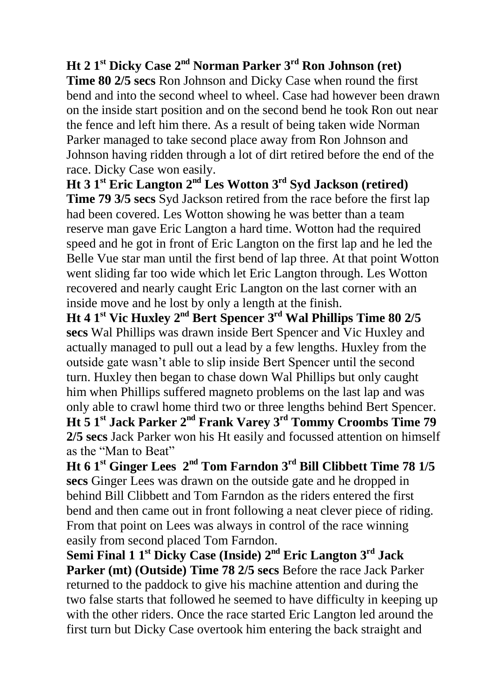### **Ht 2 1 st Dicky Case 2 nd Norman Parker 3 rd Ron Johnson (ret)**

**Time 80 2/5 secs** Ron Johnson and Dicky Case when round the first bend and into the second wheel to wheel. Case had however been drawn on the inside start position and on the second bend he took Ron out near the fence and left him there. As a result of being taken wide Norman Parker managed to take second place away from Ron Johnson and Johnson having ridden through a lot of dirt retired before the end of the race. Dicky Case won easily.

**Ht 3 1 st Eric Langton 2 nd Les Wotton 3 rd Syd Jackson (retired) Time 79 3/5 secs** Syd Jackson retired from the race before the first lap had been covered. Les Wotton showing he was better than a team reserve man gave Eric Langton a hard time. Wotton had the required speed and he got in front of Eric Langton on the first lap and he led the Belle Vue star man until the first bend of lap three. At that point Wotton went sliding far too wide which let Eric Langton through. Les Wotton recovered and nearly caught Eric Langton on the last corner with an inside move and he lost by only a length at the finish.

**Ht 4 1 st Vic Huxley 2 nd Bert Spencer 3 rd Wal Phillips Time 80 2/5 secs** Wal Phillips was drawn inside Bert Spencer and Vic Huxley and actually managed to pull out a lead by a few lengths. Huxley from the outside gate wasn't able to slip inside Bert Spencer until the second turn. Huxley then began to chase down Wal Phillips but only caught him when Phillips suffered magneto problems on the last lap and was only able to crawl home third two or three lengths behind Bert Spencer. **Ht 5 1 st Jack Parker 2 nd Frank Varey 3 rd Tommy Croombs Time 79 2/5 secs** Jack Parker won his Ht easily and focussed attention on himself as the "Man to Beat"

**Ht 6 1 st Ginger Lees 2 nd Tom Farndon 3 rd Bill Clibbett Time 78 1/5 secs** Ginger Lees was drawn on the outside gate and he dropped in behind Bill Clibbett and Tom Farndon as the riders entered the first bend and then came out in front following a neat clever piece of riding. From that point on Lees was always in control of the race winning easily from second placed Tom Farndon.

**Semi Final 1 1 st Dicky Case (Inside) 2 nd Eric Langton 3 rd Jack Parker (mt) (Outside) Time 78 2/5 secs** Before the race Jack Parker returned to the paddock to give his machine attention and during the two false starts that followed he seemed to have difficulty in keeping up with the other riders. Once the race started Eric Langton led around the first turn but Dicky Case overtook him entering the back straight and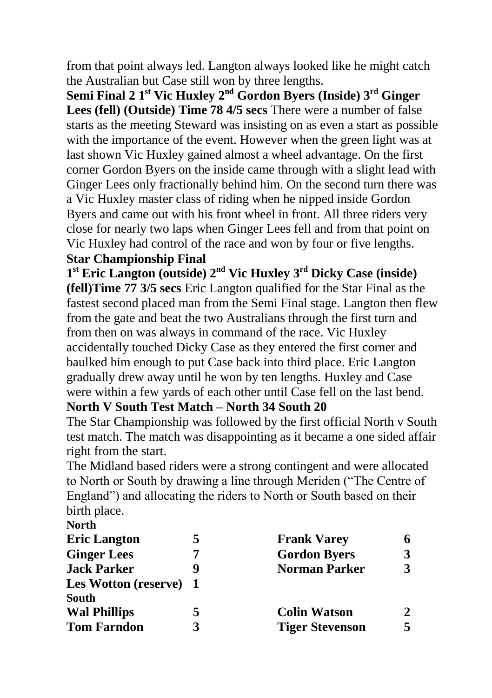from that point always led. Langton always looked like he might catch the Australian but Case still won by three lengths.

**Semi Final 2 1st Vic Huxley 2nd Gordon Byers (Inside) 3rd Ginger Lees (fell) (Outside) Time 78 4/5 secs** There were a number of false starts as the meeting Steward was insisting on as even a start as possible with the importance of the event. However when the green light was at last shown Vic Huxley gained almost a wheel advantage. On the first corner Gordon Byers on the inside came through with a slight lead with Ginger Lees only fractionally behind him. On the second turn there was a Vic Huxley master class of riding when he nipped inside Gordon Byers and came out with his front wheel in front. All three riders very close for nearly two laps when Ginger Lees fell and from that point on Vic Huxley had control of the race and won by four or five lengths. **Star Championship Final**

**1 st Eric Langton (outside) 2 nd Vic Huxley 3 rd Dicky Case (inside) (fell)Time 77 3/5 secs** Eric Langton qualified for the Star Final as the fastest second placed man from the Semi Final stage. Langton then flew from the gate and beat the two Australians through the first turn and from then on was always in command of the race. Vic Huxley accidentally touched Dicky Case as they entered the first corner and baulked him enough to put Case back into third place. Eric Langton gradually drew away until he won by ten lengths. Huxley and Case were within a few yards of each other until Case fell on the last bend. **North V South Test Match – North 34 South 20**

The Star Championship was followed by the first official North v South test match. The match was disappointing as it became a one sided affair right from the start.

The Midland based riders were a strong contingent and were allocated to North or South by drawing a line through Meriden ("The Centre of England") and allocating the riders to North or South based on their birth place.

| <b>North</b>           |   |                        |   |
|------------------------|---|------------------------|---|
| <b>Eric Langton</b>    | 5 | <b>Frank Varey</b>     |   |
| <b>Ginger Lees</b>     |   | <b>Gordon Byers</b>    |   |
| <b>Jack Parker</b>     |   | <b>Norman Parker</b>   | 3 |
| Les Wotton (reserve) 1 |   |                        |   |
| <b>South</b>           |   |                        |   |
| <b>Wal Phillips</b>    | 5 | <b>Colin Watson</b>    |   |
| <b>Tom Farndon</b>     | 3 | <b>Tiger Stevenson</b> |   |